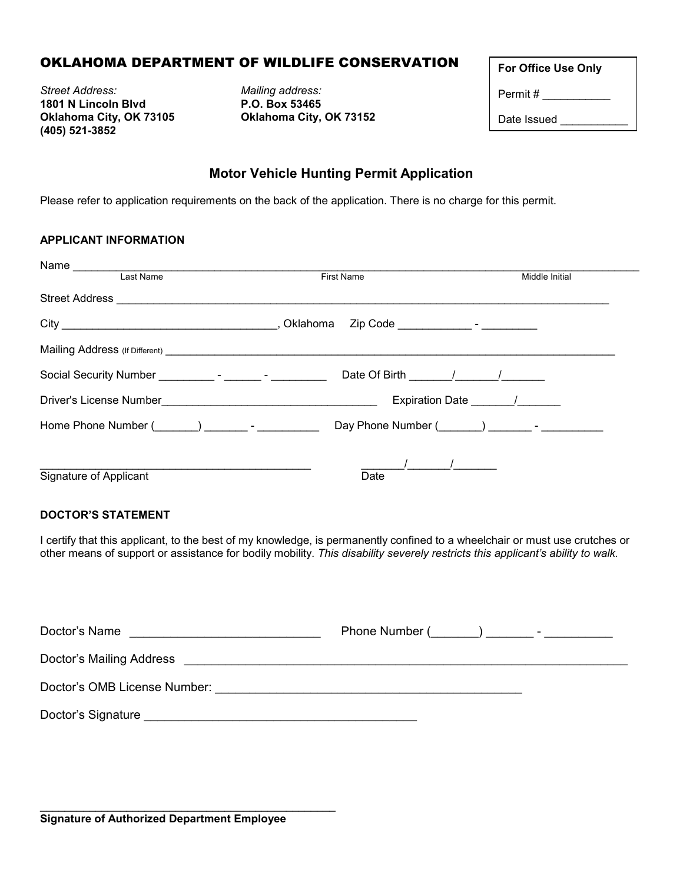## OKLAHOMA DEPARTMENT OF WILDLIFE CONSERVATION

*Street Address: Mailing address:*  **1801 N Lincoln Blvd Oklahoma City, OK 73105 Oklahoma City, OK 73152 (405) 521-3852**

| <b>For Office Use Only</b> |  |
|----------------------------|--|
| Permit#                    |  |
| Date Issued                |  |

## **Motor Vehicle Hunting Permit Application**

Please refer to application requirements on the back of the application. There is no charge for this permit.

### **APPLICANT INFORMATION**

| Last Name                                                                  | <b>First Name</b>                                                                                              | Middle Initial    |
|----------------------------------------------------------------------------|----------------------------------------------------------------------------------------------------------------|-------------------|
| Street Address <b>Communication of the Communication</b>                   |                                                                                                                |                   |
|                                                                            |                                                                                                                |                   |
|                                                                            |                                                                                                                |                   |
| Social Security Number ___________- - _______ - __________                 |                                                                                                                |                   |
|                                                                            |                                                                                                                | Expiration Date / |
| Home Phone Number (Company of The Phone Number (Company of The Phone 2014) | Day Phone Number (Company 2014) - The Company of The Company of The Company of The Company of The Company of T |                   |
| Signature of Applicant                                                     | Date                                                                                                           |                   |

#### **DOCTOR'S STATEMENT**

I certify that this applicant, to the best of my knowledge, is permanently confined to a wheelchair or must use crutches or other means of support or assistance for bodily mobility. *This disability severely restricts this applicant's ability to walk.*

| Doctor's Name                                                                                                                                                                                                                  |  |
|--------------------------------------------------------------------------------------------------------------------------------------------------------------------------------------------------------------------------------|--|
| Doctor's Mailing Address                                                                                                                                                                                                       |  |
| Doctor's OMB License Number: We have a state of the state of the state of the state of the state of the state of the state of the state of the state of the state of the state of the state of the state of the state of the s |  |
| Doctor's Signature experience of the state of the state of the state of the state of the state of the state of the state of the state of the state of the state of the state of the state of the state of the state of the sta |  |

\_\_\_\_\_\_\_\_\_\_\_\_\_\_\_\_\_\_\_\_\_\_\_\_\_\_\_\_\_\_\_\_\_\_\_\_\_\_\_\_\_\_\_\_\_\_\_\_